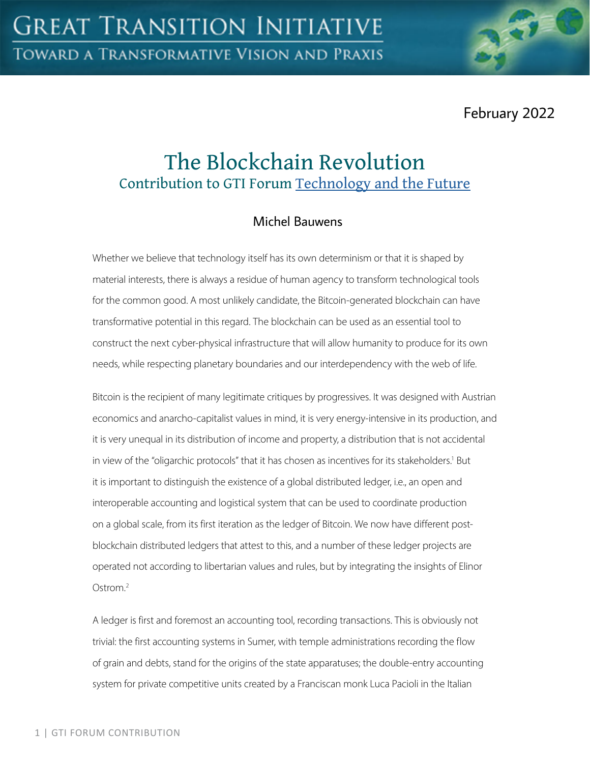February 2022

# The Blockchain Revolution Contribution to GTI Forum [Technology and the Future](https://greattransition.org/gti-forum/tech-and-the-future)

## Michel Bauwens

Whether we believe that technology itself has its own determinism or that it is shaped by material interests, there is always a residue of human agency to transform technological tools for the common good. A most unlikely candidate, the Bitcoin-generated blockchain can have transformative potential in this regard. The blockchain can be used as an essential tool to construct the next cyber-physical infrastructure that will allow humanity to produce for its own needs, while respecting planetary boundaries and our interdependency with the web of life.

Bitcoin is the recipient of many legitimate critiques by progressives. It was designed with Austrian economics and anarcho-capitalist values in mind, it is very energy-intensive in its production, and it is very unequal in its distribution of income and property, a distribution that is not accidental in view of the "oligarchic protocols" that it has chosen as incentives for its stakeholders.<sup>1</sup> But it is important to distinguish the existence of a global distributed ledger, i.e., an open and interoperable accounting and logistical system that can be used to coordinate production on a global scale, from its first iteration as the ledger of Bitcoin. We now have different postblockchain distributed ledgers that attest to this, and a number of these ledger projects are operated not according to libertarian values and rules, but by integrating the insights of Elinor Ostrom $^2$ 

A ledger is first and foremost an accounting tool, recording transactions. This is obviously not trivial: the first accounting systems in Sumer, with temple administrations recording the flow of grain and debts, stand for the origins of the state apparatuses; the double-entry accounting system for private competitive units created by a Franciscan monk Luca Pacioli in the Italian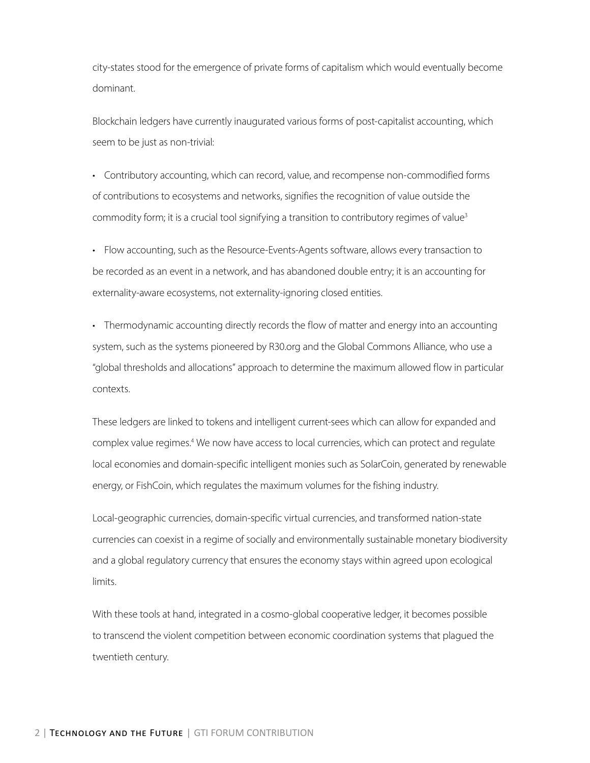city-states stood for the emergence of private forms of capitalism which would eventually become dominant.

Blockchain ledgers have currently inaugurated various forms of post-capitalist accounting, which seem to be just as non-trivial:

• Contributory accounting, which can record, value, and recompense non-commodified forms of contributions to ecosystems and networks, signifies the recognition of value outside the commodity form; it is a crucial tool signifying a transition to contributory regimes of value<sup>3</sup>

• Flow accounting, such as the Resource-Events-Agents software, allows every transaction to be recorded as an event in a network, and has abandoned double entry; it is an accounting for externality-aware ecosystems, not externality-ignoring closed entities.

• Thermodynamic accounting directly records the flow of matter and energy into an accounting system, such as the systems pioneered by R30.org and the Global Commons Alliance, who use a "global thresholds and allocations" approach to determine the maximum allowed flow in particular contexts.

These ledgers are linked to tokens and intelligent current-sees which can allow for expanded and complex value regimes.<sup>4</sup> We now have access to local currencies, which can protect and regulate local economies and domain-specific intelligent monies such as SolarCoin, generated by renewable energy, or FishCoin, which regulates the maximum volumes for the fishing industry.

Local-geographic currencies, domain-specific virtual currencies, and transformed nation-state currencies can coexist in a regime of socially and environmentally sustainable monetary biodiversity and a global regulatory currency that ensures the economy stays within agreed upon ecological limits.

With these tools at hand, integrated in a cosmo-global cooperative ledger, it becomes possible to transcend the violent competition between economic coordination systems that plagued the twentieth century.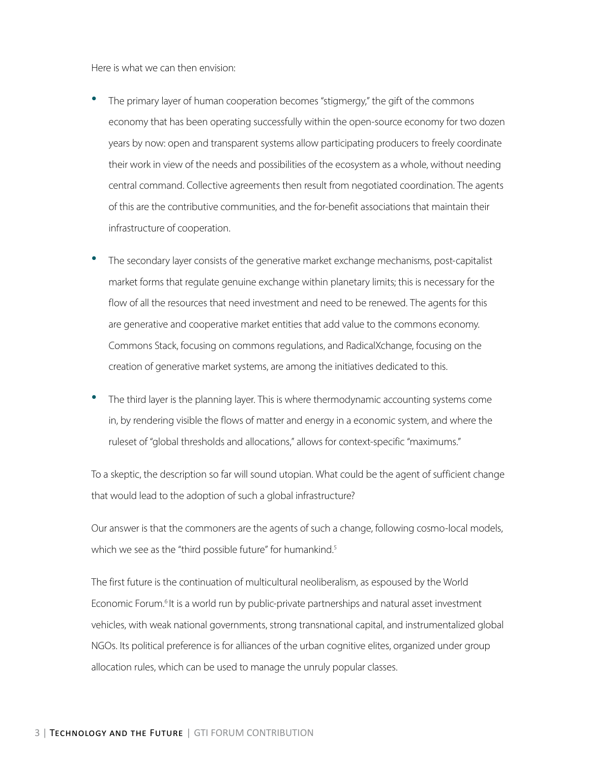Here is what we can then envision:

- The primary layer of human cooperation becomes "stigmergy," the gift of the commons economy that has been operating successfully within the open-source economy for two dozen years by now: open and transparent systems allow participating producers to freely coordinate their work in view of the needs and possibilities of the ecosystem as a whole, without needing central command. Collective agreements then result from negotiated coordination. The agents of this are the contributive communities, and the for-benefit associations that maintain their infrastructure of cooperation.
- The secondary layer consists of the generative market exchange mechanisms, post-capitalist market forms that regulate genuine exchange within planetary limits; this is necessary for the flow of all the resources that need investment and need to be renewed. The agents for this are generative and cooperative market entities that add value to the commons economy. Commons Stack, focusing on commons regulations, and RadicalXchange, focusing on the creation of generative market systems, are among the initiatives dedicated to this.
- The third layer is the planning layer. This is where thermodynamic accounting systems come in, by rendering visible the flows of matter and energy in a economic system, and where the ruleset of "global thresholds and allocations," allows for context-specific "maximums."

To a skeptic, the description so far will sound utopian. What could be the agent of sufficient change that would lead to the adoption of such a global infrastructure?

Our answer is that the commoners are the agents of such a change, following cosmo-local models, which we see as the "third possible future" for humankind.<sup>5</sup>

The first future is the continuation of multicultural neoliberalism, as espoused by the World Economic Forum.<sup>6</sup> It is a world run by public-private partnerships and natural asset investment vehicles, with weak national governments, strong transnational capital, and instrumentalized global NGOs. Its political preference is for alliances of the urban cognitive elites, organized under group allocation rules, which can be used to manage the unruly popular classes.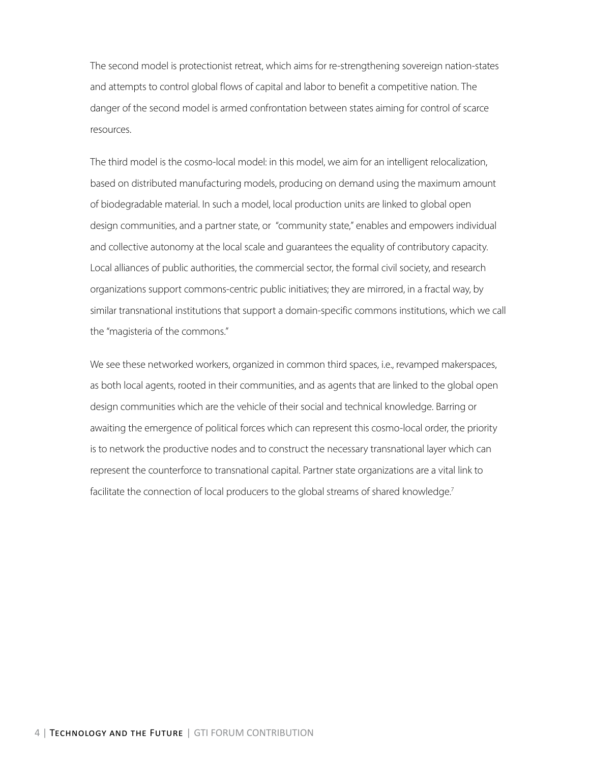The second model is protectionist retreat, which aims for re-strengthening sovereign nation-states and attempts to control global flows of capital and labor to benefit a competitive nation. The danger of the second model is armed confrontation between states aiming for control of scarce resources.

The third model is the cosmo-local model: in this model, we aim for an intelligent relocalization, based on distributed manufacturing models, producing on demand using the maximum amount of biodegradable material. In such a model, local production units are linked to global open design communities, and a partner state, or "community state," enables and empowers individual and collective autonomy at the local scale and guarantees the equality of contributory capacity. Local alliances of public authorities, the commercial sector, the formal civil society, and research organizations support commons-centric public initiatives; they are mirrored, in a fractal way, by similar transnational institutions that support a domain-specific commons institutions, which we call the "magisteria of the commons."

We see these networked workers, organized in common third spaces, i.e., revamped makerspaces, as both local agents, rooted in their communities, and as agents that are linked to the global open design communities which are the vehicle of their social and technical knowledge. Barring or awaiting the emergence of political forces which can represent this cosmo-local order, the priority is to network the productive nodes and to construct the necessary transnational layer which can represent the counterforce to transnational capital. Partner state organizations are a vital link to facilitate the connection of local producers to the global streams of shared knowledge.<sup>7</sup>

4 | Technology and the Future | GTI FORUM CONTRIBUTION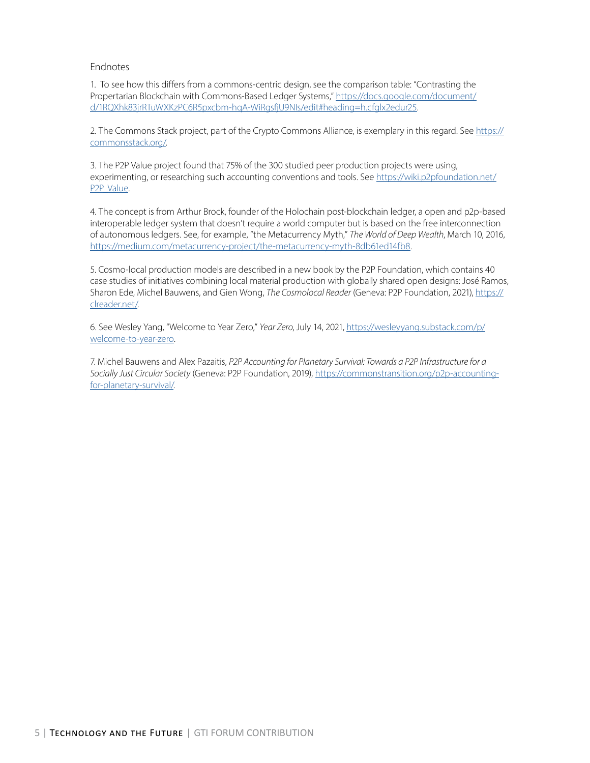#### Endnotes

1. To see how this differs from a commons-centric design, see the comparison table: "Contrasting the Propertarian Blockchain with Commons-Based Ledger Systems," [https://docs.google.com/document/](https://docs.google.com/document/d/1RQXhk83jrRTuWXKzPC6R5pxcbm-hqA-WiRgsfjU9NIs/edit#heading=h.cfglx2edur25) [d/1RQXhk83jrRTuWXKzPC6R5pxcbm-hqA-WiRgsfjU9NIs/edit#heading=h.cfglx2edur25.](https://docs.google.com/document/d/1RQXhk83jrRTuWXKzPC6R5pxcbm-hqA-WiRgsfjU9NIs/edit#heading=h.cfglx2edur25)

2. The Commons Stack project, part of the Crypto Commons Alliance, is exemplary in this regard. See [https://](https://commonsstack.org/) [commonsstack.org/.](https://commonsstack.org/)

3. The P2P Value project found that 75% of the 300 studied peer production projects were using, experimenting, or researching such accounting conventions and tools. See [https://wiki.p2pfoundation.net/](https://wiki.p2pfoundation.net/P2P_Value) [P2P\\_Value](https://wiki.p2pfoundation.net/P2P_Value).

4. The concept is from Arthur Brock, founder of the Holochain post-blockchain ledger, a open and p2p-based interoperable ledger system that doesn't require a world computer but is based on the free interconnection of autonomous ledgers. See, for example, "the Metacurrency Myth," *The World of Deep Wealth*, March 10, 2016, [https://medium.com/metacurrency-project/the-metacurrency-myth-8db61ed14fb8.](https://medium.com/metacurrency-project/the-metacurrency-myth-8db61ed14fb8)

5. Cosmo-local production models are described in a new book by the P2P Foundation, which contains 40 case studies of initiatives combining local material production with globally shared open designs: José Ramos, Sharon Ede, Michel Bauwens, and Gien Wong, *The Cosmolocal Reader* (Geneva: P2P Foundation, 2021), [https://](https://clreader.net/) [clreader.net/.](https://clreader.net/)

6. See Wesley Yang, "Welcome to Year Zero," *Year Zero*, July 14, 2021, [https://wesleyyang.substack.com/p/](https://wesleyyang.substack.com/p/welcome-to-year-zero) [welcome-to-year-zero](https://wesleyyang.substack.com/p/welcome-to-year-zero).

7. Michel Bauwens and Alex Pazaitis, *P2P Accounting for Planetary Survival: Towards a P2P Infrastructure for a Socially Just Circular Society* (Geneva: P2P Foundation, 2019), [https://commonstransition.org/p2p-accounting](https://commonstransition.org/p2p-accounting-for-planetary-survival/)[for-planetary-survival/](https://commonstransition.org/p2p-accounting-for-planetary-survival/).